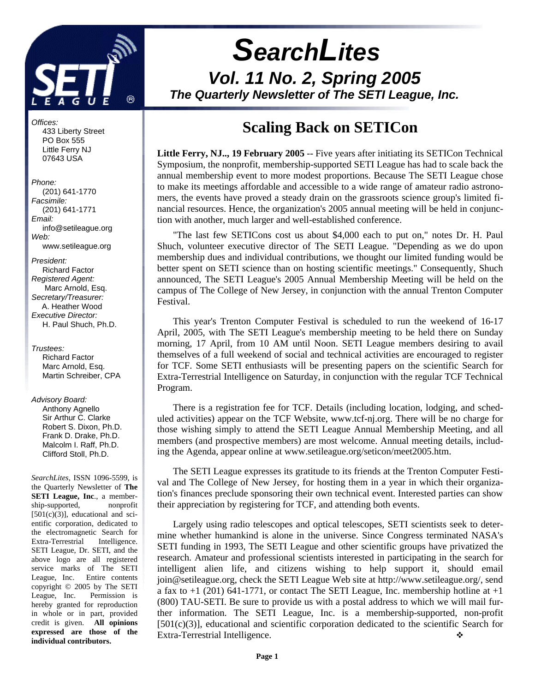

# *SearchLites Vol. 11 No. 2, Spring 2005 The Quarterly Newsletter of The SETI League, Inc.*

# **Scaling Back on SETICon**

**Little Ferry, NJ.., 19 February 2005** -- Five years after initiating its SETICon Technical Symposium, the nonprofit, membership-supported SETI League has had to scale back the annual membership event to more modest proportions. Because The SETI League chose to make its meetings affordable and accessible to a wide range of amateur radio astronomers, the events have proved a steady drain on the grassroots science group's limited financial resources. Hence, the organization's 2005 annual meeting will be held in conjunction with another, much larger and well-established conference.

"The last few SETICons cost us about \$4,000 each to put on," notes Dr. H. Paul Shuch, volunteer executive director of The SETI League. "Depending as we do upon membership dues and individual contributions, we thought our limited funding would be better spent on SETI science than on hosting scientific meetings." Consequently, Shuch announced, The SETI League's 2005 Annual Membership Meeting will be held on the campus of The College of New Jersey, in conjunction with the annual Trenton Computer Festival.

This year's Trenton Computer Festival is scheduled to run the weekend of 16-17 April, 2005, with The SETI League's membership meeting to be held there on Sunday morning, 17 April, from 10 AM until Noon. SETI League members desiring to avail themselves of a full weekend of social and technical activities are encouraged to register for TCF. Some SETI enthusiasts will be presenting papers on the scientific Search for Extra-Terrestrial Intelligence on Saturday, in conjunction with the regular TCF Technical Program.

There is a registration fee for TCF. Details (including location, lodging, and scheduled activities) appear on the TCF Website, www.tcf-nj.org. There will be no charge for those wishing simply to attend the SETI League Annual Membership Meeting, and all members (and prospective members) are most welcome. Annual meeting details, including the Agenda, appear online at www.setileague.org/seticon/meet2005.htm.

The SETI League expresses its gratitude to its friends at the Trenton Computer Festival and The College of New Jersey, for hosting them in a year in which their organization's finances preclude sponsoring their own technical event. Interested parties can show their appreciation by registering for TCF, and attending both events.

Largely using radio telescopes and optical telescopes, SETI scientists seek to determine whether humankind is alone in the universe. Since Congress terminated NASA's SETI funding in 1993, The SETI League and other scientific groups have privatized the research. Amateur and professional scientists interested in participating in the search for intelligent alien life, and citizens wishing to help support it, should email join@setileague.org, check the SETI League Web site at http://www.setileague.org/, send a fax to  $+1$  (201) 641-1771, or contact The SETI League, Inc. membership hotline at  $+1$ (800) TAU-SETI. Be sure to provide us with a postal address to which we will mail further information. The SETI League, Inc. is a membership-supported, non-profit  $[501(c)(3)]$ , educational and scientific corporation dedicated to the scientific Search for Extra-Terrestrial Intelligence.

*Offices:* 433 Liberty Street PO Box 555 Little Ferry NJ 07643 USA

*Phone:*

 (201) 641-1770 *Facsimile:* (201) 641-1771 *Email:* info@setileague.org *Web:* www.setileague.org

*President:* Richard Factor *Registered Agent:*  Marc Arnold, Esq. *Secretary/Treasurer:* A. Heather Wood *Executive Director:* H. Paul Shuch, Ph.D.

*Trustees:* Richard Factor Marc Arnold, Esq. Martin Schreiber, CPA

### *Advisory Board:*

 Anthony Agnello Sir Arthur C. Clarke Robert S. Dixon, Ph.D. Frank D. Drake, Ph.D. Malcolm I. Raff, Ph.D. Clifford Stoll, Ph.D.

*SearchLites*, ISSN 1096-5599, is the Quarterly Newsletter of **The SETI League, Inc**., a membership-supported, nonprofit  $[501(c)(3)]$ , educational and scientific corporation, dedicated to the electromagnetic Search for Extra-Terrestrial Intelligence. SETI League, Dr. SETI, and the above logo are all registered service marks of The SETI League, Inc. Entire contents copyright © 2005 by The SETI League, Inc. Permission is hereby granted for reproduction in whole or in part, provided credit is given. **All opinions expressed are those of the individual contributors.**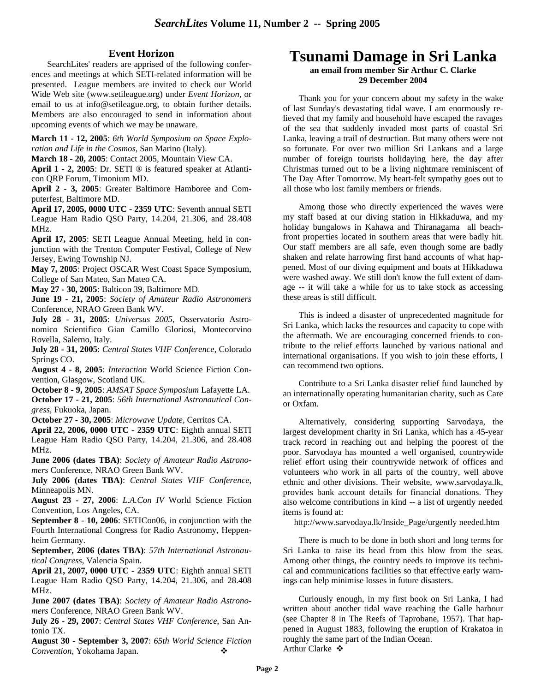### **Event Horizon**

SearchLites' readers are apprised of the following conferences and meetings at which SETI-related information will be presented. League members are invited to check our World Wide Web site (www.setileague.org) under *Event Horizon*, or email to us at info@setileague.org, to obtain further details. Members are also encouraged to send in information about upcoming events of which we may be unaware.

**March 11 - 12, 2005**: *6th World Symposium on Space Exploration and Life in the Cosmos*, San Marino (Italy).

**March 18 - 20, 2005**: Contact 2005, Mountain View CA.

**April 1 - 2, 2005**: Dr. SETI ® is featured speaker at Atlanticon QRP Forum, Timonium MD.

**April 2 - 3, 2005**: Greater Baltimore Hamboree and Computerfest, Baltimore MD.

**April 17, 2005, 0000 UTC - 2359 UTC**: Seventh annual SETI League Ham Radio QSO Party, 14.204, 21.306, and 28.408 MHz.

**April 17, 2005**: SETI League Annual Meeting, held in conjunction with the Trenton Computer Festival, College of New Jersey, Ewing Township NJ.

**May 7, 2005**: Project OSCAR West Coast Space Symposium, College of San Mateo, San Mateo CA.

**May 27 - 30, 2005**: Balticon 39, Baltimore MD.

**June 19 - 21, 2005**: *Society of Amateur Radio Astronomers* Conference, NRAO Green Bank WV.

**July 28 - 31, 2005**: *Universus 2005*, Osservatorio Astronomico Scientifico Gian Camillo Gloriosi, Montecorvino Rovella, Salerno, Italy.

**July 28 - 31, 2005**: *Central States VHF Conference*, Colorado Springs CO.

**August 4 - 8, 2005**: *Interaction* World Science Fiction Convention, Glasgow, Scotland UK.

**October 8 - 9, 2005**: *AMSAT Space Symposium* Lafayette LA. **October 17 - 21, 2005**: *56th International Astronautical Congress*, Fukuoka, Japan.

**October 27 - 30, 2005**: *Microwave Update*, Cerritos CA.

**April 22, 2006, 0000 UTC - 2359 UTC**: Eighth annual SETI League Ham Radio QSO Party, 14.204, 21.306, and 28.408 MHz.

**June 2006 (dates TBA)**: *Society of Amateur Radio Astronomers* Conference, NRAO Green Bank WV.

**July 2006 (dates TBA)**: *Central States VHF Conference*, Minneapolis MN.

**August 23 - 27, 2006**: *L.A.Con IV* World Science Fiction Convention, Los Angeles, CA.

**September 8 - 10, 2006**: SETICon06, in conjunction with the Fourth International Congress for Radio Astronomy, Heppenheim Germany.

**September, 2006 (dates TBA)**: *57th International Astronautical Congress*, Valencia Spain.

**April 21, 2007, 0000 UTC - 2359 UTC**: Eighth annual SETI League Ham Radio QSO Party, 14.204, 21.306, and 28.408 MHz.

**June 2007 (dates TBA)**: *Society of Amateur Radio Astronomers* Conference, NRAO Green Bank WV.

**July 26 - 29, 2007**: *Central States VHF Conference*, San Antonio TX.

**August 30 - September 3, 2007**: *65th World Science Fiction Convention*, Yokohama Japan.

## **Tsunami Damage in Sri Lanka**

### **an email from member Sir Arthur C. Clarke 29 December 2004**

Thank you for your concern about my safety in the wake of last Sunday's devastating tidal wave. I am enormously relieved that my family and household have escaped the ravages of the sea that suddenly invaded most parts of coastal Sri Lanka, leaving a trail of destruction. But many others were not so fortunate. For over two million Sri Lankans and a large number of foreign tourists holidaying here, the day after Christmas turned out to be a living nightmare reminiscent of The Day After Tomorrow. My heart-felt sympathy goes out to all those who lost family members or friends.

Among those who directly experienced the waves were my staff based at our diving station in Hikkaduwa, and my holiday bungalows in Kahawa and Thiranagama all beachfront properties located in southern areas that were badly hit. Our staff members are all safe, even though some are badly shaken and relate harrowing first hand accounts of what happened. Most of our diving equipment and boats at Hikkaduwa were washed away. We still don't know the full extent of damage -- it will take a while for us to take stock as accessing these areas is still difficult.

This is indeed a disaster of unprecedented magnitude for Sri Lanka, which lacks the resources and capacity to cope with the aftermath. We are encouraging concerned friends to contribute to the relief efforts launched by various national and international organisations. If you wish to join these efforts, I can recommend two options.

Contribute to a Sri Lanka disaster relief fund launched by an internationally operating humanitarian charity, such as Care or Oxfam.

Alternatively, considering supporting Sarvodaya, the largest development charity in Sri Lanka, which has a 45-year track record in reaching out and helping the poorest of the poor. Sarvodaya has mounted a well organised, countrywide relief effort using their countrywide network of offices and volunteers who work in all parts of the country, well above ethnic and other divisions. Their website, www.sarvodaya.lk, provides bank account details for financial donations. They also welcome contributions in kind -- a list of urgently needed items is found at:

http://www.sarvodaya.lk/Inside\_Page/urgently needed.htm

There is much to be done in both short and long terms for Sri Lanka to raise its head from this blow from the seas. Among other things, the country needs to improve its technical and communications facilities so that effective early warnings can help minimise losses in future disasters.

Curiously enough, in my first book on Sri Lanka, I had written about another tidal wave reaching the Galle harbour (see Chapter 8 in The Reefs of Taprobane, 1957). That happened in August 1883, following the eruption of Krakatoa in roughly the same part of the Indian Ocean. Arthur Clarke ❖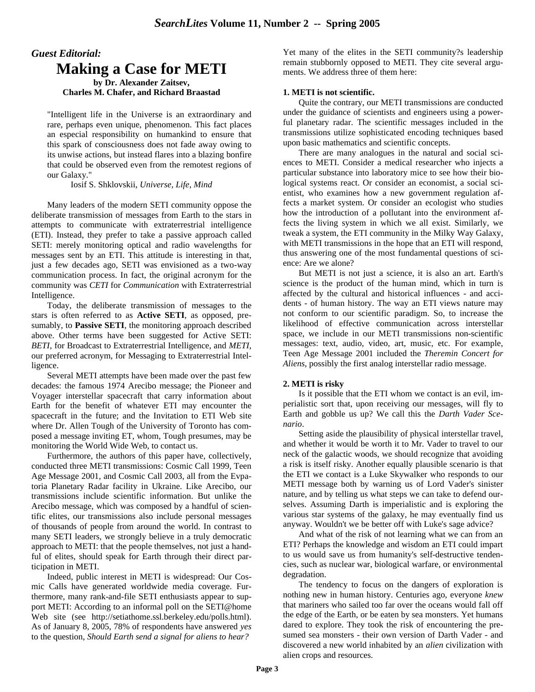### *Guest Editorial:* **Making a Case for METI by Dr. Alexander Zaitsev, Charles M. Chafer, and Richard Braastad**

"Intelligent life in the Universe is an extraordinary and rare, perhaps even unique, phenomenon. This fact places an especial responsibility on humankind to ensure that this spark of consciousness does not fade away owing to its unwise actions, but instead flares into a blazing bonfire that could be observed even from the remotest regions of our Galaxy."

Iosif S. Shklovskii, *Universe, Life, Mind*

Many leaders of the modern SETI community oppose the deliberate transmission of messages from Earth to the stars in attempts to communicate with extraterrestrial intelligence (ETI). Instead, they prefer to take a passive approach called SETI: merely monitoring optical and radio wavelengths for messages sent by an ETI. This attitude is interesting in that, just a few decades ago, SETI was envisioned as a two-way communication process. In fact, the original acronym for the community was *CETI* for *Communication* with Extraterrestrial Intelligence.

Today, the deliberate transmission of messages to the stars is often referred to as **Active SETI**, as opposed, presumably, to **Passive SETI**, the monitoring approach described above. Other terms have been suggested for Active SETI: *BETI*, for Broadcast to Extraterrestrial Intelligence, and *METI*, our preferred acronym, for Messaging to Extraterrestrial Intelligence.

Several METI attempts have been made over the past few decades: the famous 1974 Arecibo message; the Pioneer and Voyager interstellar spacecraft that carry information about Earth for the benefit of whatever ETI may encounter the spacecraft in the future; and the Invitation to ETI Web site where Dr. Allen Tough of the University of Toronto has composed a message inviting ET, whom, Tough presumes, may be monitoring the World Wide Web, to contact us.

Furthermore, the authors of this paper have, collectively, conducted three METI transmissions: Cosmic Call 1999, Teen Age Message 2001, and Cosmic Call 2003, all from the Evpatoria Planetary Radar facility in Ukraine. Like Arecibo, our transmissions include scientific information. But unlike the Arecibo message, which was composed by a handful of scientific elites, our transmissions also include personal messages of thousands of people from around the world. In contrast to many SETI leaders, we strongly believe in a truly democratic approach to METI: that the people themselves, not just a handful of elites, should speak for Earth through their direct participation in METI.

Indeed, public interest in METI is widespread: Our Cosmic Calls have generated worldwide media coverage. Furthermore, many rank-and-file SETI enthusiasts appear to support METI: According to an informal poll on the SETI@home Web site (see http://setiathome.ssl.berkeley.edu/polls.html). As of January 8, 2005, 78% of respondents have answered *yes* to the question, *Should Earth send a signal for aliens to hear?*

Yet many of the elites in the SETI community?s leadership remain stubbornly opposed to METI. They cite several arguments. We address three of them here:

### **1. METI is not scientific.**

Quite the contrary, our METI transmissions are conducted under the guidance of scientists and engineers using a powerful planetary radar. The scientific messages included in the transmissions utilize sophisticated encoding techniques based upon basic mathematics and scientific concepts.

There are many analogues in the natural and social sciences to METI. Consider a medical researcher who injects a particular substance into laboratory mice to see how their biological systems react. Or consider an economist, a social scientist, who examines how a new government regulation affects a market system. Or consider an ecologist who studies how the introduction of a pollutant into the environment affects the living system in which we all exist. Similarly, we tweak a system, the ETI community in the Milky Way Galaxy, with METI transmissions in the hope that an ETI will respond, thus answering one of the most fundamental questions of science: Are we alone?

But METI is not just a science, it is also an art. Earth's science is the product of the human mind, which in turn is affected by the cultural and historical influences - and accidents - of human history. The way an ETI views nature may not conform to our scientific paradigm. So, to increase the likelihood of effective communication across interstellar space, we include in our METI transmissions non-scientific messages: text, audio, video, art, music, etc. For example, Teen Age Message 2001 included the *Theremin Concert for Aliens*, possibly the first analog interstellar radio message.

### **2. METI is risky**

Is it possible that the ETI whom we contact is an evil, imperialistic sort that, upon receiving our messages, will fly to Earth and gobble us up? We call this the *Darth Vader Scenario*.

Setting aside the plausibility of physical interstellar travel, and whether it would be worth it to Mr. Vader to travel to our neck of the galactic woods, we should recognize that avoiding a risk is itself risky. Another equally plausible scenario is that the ETI we contact is a Luke Skywalker who responds to our METI message both by warning us of Lord Vader's sinister nature, and by telling us what steps we can take to defend ourselves. Assuming Darth is imperialistic and is exploring the various star systems of the galaxy, he may eventually find us anyway. Wouldn't we be better off with Luke's sage advice?

And what of the risk of not learning what we can from an ETI? Perhaps the knowledge and wisdom an ETI could impart to us would save us from humanity's self-destructive tendencies, such as nuclear war, biological warfare, or environmental degradation.

The tendency to focus on the dangers of exploration is nothing new in human history. Centuries ago, everyone *knew* that mariners who sailed too far over the oceans would fall off the edge of the Earth, or be eaten by sea monsters. Yet humans dared to explore. They took the risk of encountering the presumed sea monsters - their own version of Darth Vader - and discovered a new world inhabited by an *alien* civilization with alien crops and resources.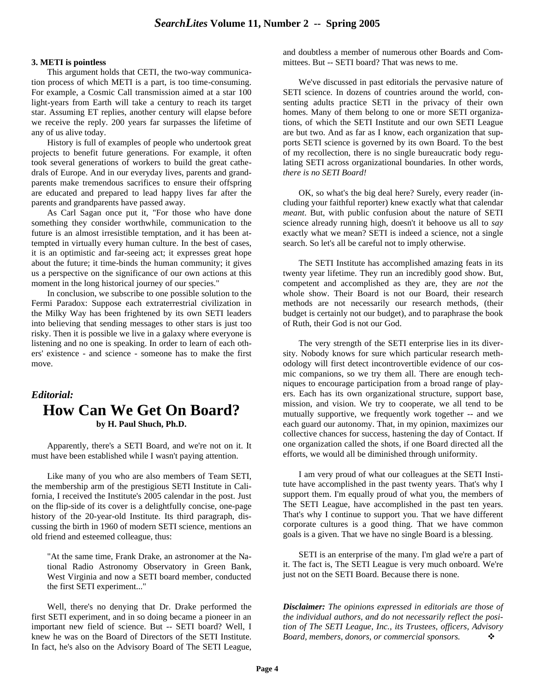### **3. METI is pointless**

This argument holds that CETI, the two-way communication process of which METI is a part, is too time-consuming. For example, a Cosmic Call transmission aimed at a star 100 light-years from Earth will take a century to reach its target star. Assuming ET replies, another century will elapse before we receive the reply. 200 years far surpasses the lifetime of any of us alive today.

History is full of examples of people who undertook great projects to benefit future generations. For example, it often took several generations of workers to build the great cathedrals of Europe. And in our everyday lives, parents and grandparents make tremendous sacrifices to ensure their offspring are educated and prepared to lead happy lives far after the parents and grandparents have passed away.

As Carl Sagan once put it, "For those who have done something they consider worthwhile, communication to the future is an almost irresistible temptation, and it has been attempted in virtually every human culture. In the best of cases, it is an optimistic and far-seeing act; it expresses great hope about the future; it time-binds the human community; it gives us a perspective on the significance of our own actions at this moment in the long historical journey of our species."

In conclusion, we subscribe to one possible solution to the Fermi Paradox: Suppose each extraterrestrial civilization in the Milky Way has been frightened by its own SETI leaders into believing that sending messages to other stars is just too risky. Then it is possible we live in a galaxy where everyone is listening and no one is speaking. In order to learn of each others' existence - and science - someone has to make the first move.

### *Editorial:*

### **How Can We Get On Board? by H. Paul Shuch, Ph.D.**

Apparently, there's a SETI Board, and we're not on it. It must have been established while I wasn't paying attention.

Like many of you who are also members of Team SETI, the membership arm of the prestigious SETI Institute in California, I received the Institute's 2005 calendar in the post. Just on the flip-side of its cover is a delightfully concise, one-page history of the 20-year-old Institute. Its third paragraph, discussing the birth in 1960 of modern SETI science, mentions an old friend and esteemed colleague, thus:

"At the same time, Frank Drake, an astronomer at the National Radio Astronomy Observatory in Green Bank, West Virginia and now a SETI board member, conducted the first SETI experiment..."

Well, there's no denying that Dr. Drake performed the first SETI experiment, and in so doing became a pioneer in an important new field of science. But -- SETI board? Well, I knew he was on the Board of Directors of the SETI Institute. In fact, he's also on the Advisory Board of The SETI League,

and doubtless a member of numerous other Boards and Committees. But -- SETI board? That was news to me.

We've discussed in past editorials the pervasive nature of SETI science. In dozens of countries around the world, consenting adults practice SETI in the privacy of their own homes. Many of them belong to one or more SETI organizations, of which the SETI Institute and our own SETI League are but two. And as far as I know, each organization that supports SETI science is governed by its own Board. To the best of my recollection, there is no single bureaucratic body regulating SETI across organizational boundaries. In other words, *there is no SETI Board!*

OK, so what's the big deal here? Surely, every reader (including your faithful reporter) knew exactly what that calendar *meant*. But, with public confusion about the nature of SETI science already running high, doesn't it behoove us all to *say* exactly what we mean? SETI is indeed a science, not a single search. So let's all be careful not to imply otherwise.

The SETI Institute has accomplished amazing feats in its twenty year lifetime. They run an incredibly good show. But, competent and accomplished as they are, they are *not* the whole show. Their Board is not our Board, their research methods are not necessarily our research methods, (their budget is certainly not our budget), and to paraphrase the book of Ruth, their God is not our God.

The very strength of the SETI enterprise lies in its diversity. Nobody knows for sure which particular research methodology will first detect incontrovertible evidence of our cosmic companions, so we try them all. There are enough techniques to encourage participation from a broad range of players. Each has its own organizational structure, support base, mission, and vision. We try to cooperate, we all tend to be mutually supportive, we frequently work together -- and we each guard our autonomy. That, in my opinion, maximizes our collective chances for success, hastening the day of Contact. If one organization called the shots, if one Board directed all the efforts, we would all be diminished through uniformity.

I am very proud of what our colleagues at the SETI Institute have accomplished in the past twenty years. That's why I support them. I'm equally proud of what you, the members of The SETI League, have accomplished in the past ten years. That's why I continue to support you. That we have different corporate cultures is a good thing. That we have common goals is a given. That we have no single Board is a blessing.

SETI is an enterprise of the many. I'm glad we're a part of it. The fact is, The SETI League is very much onboard. We're just not on the SETI Board. Because there is none.

*Disclaimer: The opinions expressed in editorials are those of the individual authors, and do not necessarily reflect the position of The SETI League, Inc., its Trustees, officers, Advisory Board, members, donors, or commercial sponsors.* ◆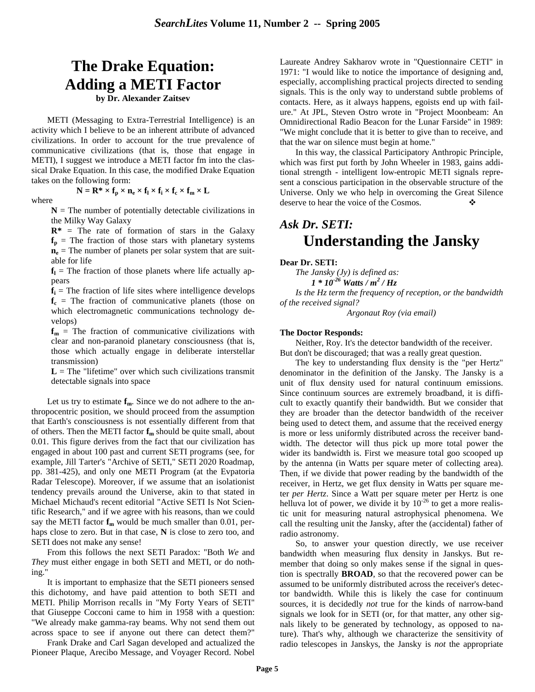# **The Drake Equation: Adding a METI Factor**

**by Dr. Alexander Zaitsev**

METI (Messaging to Extra-Terrestrial Intelligence) is an activity which I believe to be an inherent attribute of advanced civilizations. In order to account for the true prevalence of communicative civilizations (that is, those that engage in METI), I suggest we introduce a METI factor fm into the classical Drake Equation. In this case, the modified Drake Equation takes on the following form:

where

 $N = \mathbb{R}^* \times \mathbf{f}_p \times \mathbf{n}_e \times \mathbf{f}_1 \times \mathbf{f}_i \times \mathbf{f}_c \times \mathbf{f}_m \times \mathbf{L}$ 

 $N =$  The number of potentially detectable civilizations in the Milky Way Galaxy

 $R^*$  = The rate of formation of stars in the Galaxy  $f_p$  = The fraction of those stars with planetary systems **ne** = The number of planets per solar system that are suitable for life

 $f_1$  = The fraction of those planets where life actually appears

 $f_i$  = The fraction of life sites where intelligence develops **fc** = The fraction of communicative planets (those on which electromagnetic communications technology develops)

 $f_m$  = The fraction of communicative civilizations with clear and non-paranoid planetary consciousness (that is, those which actually engage in deliberate interstellar transmission)

 $L =$ The "lifetime" over which such civilizations transmit detectable signals into space

Let us try to estimate **fm**. Since we do not adhere to the anthropocentric position, we should proceed from the assumption that Earth's consciousness is not essentially different from that of others. Then the METI factor **fm** should be quite small, about 0.01. This figure derives from the fact that our civilization has engaged in about 100 past and current SETI programs (see, for example, Jill Tarter's "Archive of SETI," SETI 2020 Roadmap, pp. 381-425), and only one METI Program (at the Evpatoria Radar Telescope). Moreover, if we assume that an isolationist tendency prevails around the Universe, akin to that stated in Michael Michaud's recent editorial "Active SETI Is Not Scientific Research," and if we agree with his reasons, than we could say the METI factor **fm** would be much smaller than 0.01, perhaps close to zero. But in that case, **N** is close to zero too, and SETI does not make any sense!

From this follows the next SETI Paradox: "Both *We* and *They* must either engage in both SETI and METI, or do nothing."

It is important to emphasize that the SETI pioneers sensed this dichotomy, and have paid attention to both SETI and METI. Philip Morrison recalls in "My Forty Years of SETI" that Giuseppe Cocconi came to him in 1958 with a question: "We already make gamma-ray beams. Why not send them out across space to see if anyone out there can detect them?"

Frank Drake and Carl Sagan developed and actualized the Pioneer Plaque, Arecibo Message, and Voyager Record. Nobel

Laureate Andrey Sakharov wrote in "Questionnaire CETI" in 1971: "I would like to notice the importance of designing and, especially, accomplishing practical projects directed to sending signals. This is the only way to understand subtle problems of contacts. Here, as it always happens, egoists end up with failure." At JPL, Steven Ostro wrote in "Project Moonbeam: An Omnidirectional Radio Beacon for the Lunar Farside" in 1989: "We might conclude that it is better to give than to receive, and that the war on silence must begin at home."

In this way, the classical Participatory Anthropic Principle, which was first put forth by John Wheeler in 1983, gains additional strength - intelligent low-entropic METI signals represent a conscious participation in the observable structure of the Universe. Only we who help in overcoming the Great Silence deserve to hear the voice of the Cosmos.  $\mathbf{\hat{P}}$ 

# *Ask Dr. SETI:*  **Understanding the Jansky**

#### **Dear Dr. SETI:**

*The Jansky (Jy) is defined as:* 

*1 \* 10-26 Watts / m<sup>2</sup> / Hz Is the Hz term the frequency of reception, or the bandwidth of the received signal?* 

*Argonaut Roy (via email)*

### **The Doctor Responds:**

Neither, Roy. It's the detector bandwidth of the receiver. But don't be discouraged; that was a really great question.

The key to understanding flux density is the "per Hertz" denominator in the definition of the Jansky. The Jansky is a unit of flux density used for natural continuum emissions. Since continuum sources are extremely broadband, it is difficult to exactly quantify their bandwidth. But we consider that they are broader than the detector bandwidth of the receiver being used to detect them, and assume that the received energy is more or less uniformly distributed across the receiver bandwidth. The detector will thus pick up more total power the wider its bandwidth is. First we measure total goo scooped up by the antenna (in Watts per square meter of collecting area). Then, if we divide that power reading by the bandwidth of the receiver, in Hertz, we get flux density in Watts per square meter *per Hertz*. Since a Watt per square meter per Hertz is one helluva lot of power, we divide it by  $10^{-26}$  to get a more realistic unit for measuring natural astrophysical phenomena. We call the resulting unit the Jansky, after the (accidental) father of radio astronomy.

So, to answer your question directly, we use receiver bandwidth when measuring flux density in Janskys. But remember that doing so only makes sense if the signal in question is spectrally **BROAD**, so that the recovered power can be assumed to be uniformly distributed across the receiver's detector bandwidth. While this is likely the case for continuum sources, it is decidedly *not* true for the kinds of narrow-band signals we look for in SETI (or, for that matter, any other signals likely to be generated by technology, as opposed to nature). That's why, although we characterize the sensitivity of radio telescopes in Janskys, the Jansky is *not* the appropriate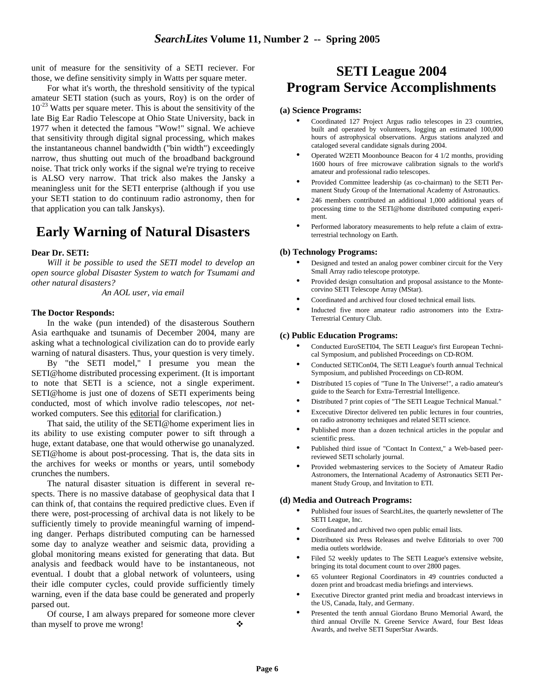unit of measure for the sensitivity of a SETI reciever. For those, we define sensitivity simply in Watts per square meter.

For what it's worth, the threshold sensitivity of the typical amateur SETI station (such as yours, Roy) is on the order of  $10^{-23}$  Watts per square meter. This is about the sensitivity of the late Big Ear Radio Telescope at Ohio State University, back in 1977 when it detected the famous "Wow!" signal. We achieve that sensitivity through digital signal processing, which makes the instantaneous channel bandwidth ("bin width") exceedingly narrow, thus shutting out much of the broadband background noise. That trick only works if the signal we're trying to receive is ALSO very narrow. That trick also makes the Jansky a meaningless unit for the SETI enterprise (although if you use your SETI station to do continuum radio astronomy, then for that application you can talk Janskys).

## **Early Warning of Natural Disasters**

### **Dear Dr. SETI:**

*Will it be possible to used the SETI model to develop an open source global Disaster System to watch for Tsumami and other natural disasters?* 

*An AOL user, via email*

#### **The Doctor Responds:**

In the wake (pun intended) of the disasterous Southern Asia earthquake and tsunamis of December 2004, many are asking what a technological civilization can do to provide early warning of natural disasters. Thus, your question is very timely.

By "the SETI model," I presume you mean the SETI@home distributed processing experiment. (It is important to note that SETI is a science, not a single experiment. SETI@home is just one of dozens of SETI experiments being conducted, most of which involve radio telescopes, *not* networked computers. See this editorial for clarification.)

That said, the utility of the SETI@home experiment lies in its ability to use existing computer power to sift through a huge, extant database, one that would otherwise go unanalyzed. SETI@home is about post-processing. That is, the data sits in the archives for weeks or months or years, until somebody crunches the numbers.

The natural disaster situation is different in several respects. There is no massive database of geophysical data that I can think of, that contains the required predictive clues. Even if there were, post-processing of archival data is not likely to be sufficiently timely to provide meaningful warning of impending danger. Perhaps distributed computing can be harnessed some day to analyze weather and seismic data, providing a global monitoring means existed for generating that data. But analysis and feedback would have to be instantaneous, not eventual. I doubt that a global network of volunteers, using their idle computer cycles, could provide sufficiently timely warning, even if the data base could be generated and properly parsed out.

Of course, I am always prepared for someone more clever than myself to prove me wrong!

## **SETI League 2004 Program Service Accomplishments**

#### **(a) Science Programs:**

- Coordinated 127 Project Argus radio telescopes in 23 countries, built and operated by volunteers, logging an estimated 100,000 hours of astrophysical observations. Argus stations analyzed and cataloged several candidate signals during 2004.
- Operated W2ETI Moonbounce Beacon for 4 1/2 months, providing 1600 hours of free microwave calibration signals to the world's amateur and professional radio telescopes.
- Provided Committee leadership (as co-chairman) to the SETI Permanent Study Group of the International Academy of Astronautics.
- 246 members contributed an additional 1,000 additional years of processing time to the SETI@home distributed computing experiment.
- Performed laboratory measurements to help refute a claim of extraterrestrial technology on Earth.

#### **(b) Technology Programs:**

- Designed and tested an analog power combiner circuit for the Very Small Array radio telescope prototype.
- Provided design consultation and proposal assistance to the Montecorvino SETI Telescope Array (MStar).
- Coordinated and archived four closed technical email lists.
- Inducted five more amateur radio astronomers into the Extra-Terrestrial Century Club.

#### **(c) Public Education Programs:**

- Conducted EuroSETI04, The SETI League's first European Technical Symposium, and published Proceedings on CD-ROM.
- Conducted SETICon04, The SETI League's fourth annual Technical Symposium, and published Proceedings on CD-ROM.
- Distributed 15 copies of "Tune In The Universe!", a radio amateur's guide to the Search for Extra-Terrestrial Intelligence.
- Distributed 7 print copies of "The SETI League Technical Manual."
- Excecutive Director delivered ten public lectures in four countries, on radio astronomy techniques and related SETI science.
- Published more than a dozen technical articles in the popular and scientific press.
- Published third issue of "Contact In Context," a Web-based peerreviewed SETI scholarly journal.
- Provided webmastering services to the Society of Amateur Radio Astronomers, the International Academy of Astronautics SETI Permanent Study Group, and Invitation to ETI.

#### **(d) Media and Outreach Programs:**

- Published four issues of SearchLites, the quarterly newsletter of The SETI League, Inc.
- Coordinated and archived two open public email lists.
- Distributed six Press Releases and twelve Editorials to over 700 media outlets worldwide.
- Filed 52 weekly updates to The SETI League's extensive website, bringing its total document count to over 2800 pages.
- 65 volunteer Regional Coordinators in 49 countries conducted a dozen print and broadcast media briefings and interviews.
- Executive Director granted print media and broadcast interviews in the US, Canada, Italy, and Germany.
- Presented the tenth annual Giordano Bruno Memorial Award, the third annual Orville N. Greene Service Award, four Best Ideas Awards, and twelve SETI SuperStar Awards.